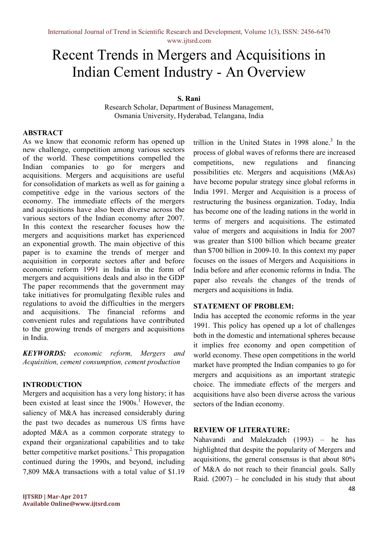# Recent Trends in Mergers and Acquisitions in Indian Cement Industry - An Overview

## S. Rani

Research Scholar, Department of Business Management, Osmania University, Hyderabad, Telangana, India

#### ABSTRACT

As we know that economic reform has opened up new challenge, competition among various sectors of the world. These competitions compelled the Indian companies to go for mergers and acquisitions. Mergers and acquisitions are useful for consolidation of markets as well as for gaining a competitive edge in the various sectors of the economy. The immediate effects of the mergers and acquisitions have also been diverse across the various sectors of the Indian economy after 2007. In this context the researcher focuses how the mergers and acquisitions market has experienced an exponential growth. The main objective of this paper is to examine the trends of merger and acquisition in corporate sectors after and before economic reform 1991 in India in the form of mergers and acquisitions deals and also in the GDP The paper recommends that the government may take initiatives for promulgating flexible rules and regulations to avoid the difficulties in the mergers and acquisitions. The financial reforms and convenient rules and regulations have contributed to the growing trends of mergers and acquisitions in India.

KEYWORDS: economic reform, Mergers and Acquisition, cement consumption, cement production

#### INTRODUCTION

Mergers and acquisition has a very long history; it has been existed at least since the 1900s.<sup>1</sup> However, the saliency of M&A has increased considerably during the past two decades as numerous US firms have adopted M&A as a common corporate strategy to expand their organizational capabilities and to take better competitive market positions.<sup>2</sup> This propagation continued during the 1990s, and beyond, including 7,809 M&A transactions with a total value of \$1.19

trillion in the United States in  $1998$  alone.<sup>3</sup> In the process of global waves of reforms there are increased competitions, new regulations and financing possibilities etc. Mergers and acquisitions (M&As) have become popular strategy since global reforms in India 1991. Merger and Acquisition is a process of restructuring the business organization. Today, India has become one of the leading nations in the world in terms of mergers and acquisitions. The estimated value of mergers and acquisitions in India for 2007 was greater than \$100 billion which became greater than \$700 billion in 2009-10. In this context my paper focuses on the issues of Mergers and Acquisitions in India before and after economic reforms in India. The paper also reveals the changes of the trends of mergers and acquisitions in India.

## STATEMENT OF PROBLEM:

India has accepted the economic reforms in the year 1991. This policy has opened up a lot of challenges both in the domestic and international spheres because it implies free economy and open competition of world economy. These open competitions in the world market have prompted the Indian companies to go for mergers and acquisitions as an important strategic choice. The immediate effects of the mergers and acquisitions have also been diverse across the various sectors of the Indian economy.

#### REVIEW OF LITERATURE:

Nahavandi and Malekzadeh (1993) – he has highlighted that despite the popularity of Mergers and acquisitions, the general consensus is that about 80% of M&A do not reach to their financial goals. Sally Raid.  $(2007)$  – he concluded in his study that about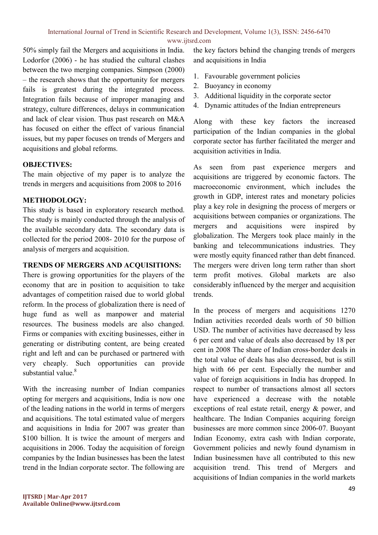50% simply fail the Mergers and acquisitions in India. Lodorfor (2006) - he has studied the cultural clashes between the two merging companies. Simpson (2000) – the research shows that the opportunity for mergers fails is greatest during the integrated process. Integration fails because of improper managing and strategy, culture differences, delays in communication and lack of clear vision. Thus past research on M&A has focused on either the effect of various financial issues, but my paper focuses on trends of Mergers and acquisitions and global reforms.

# OBJECTIVES:

The main objective of my paper is to analyze the trends in mergers and acquisitions from 2008 to 2016

# METHODOLOGY:

This study is based in exploratory research method. The study is mainly conducted through the analysis of the available secondary data. The secondary data is collected for the period 2008- 2010 for the purpose of analysis of mergers and acquisition.

# TRENDS OF MERGERS AND ACQUISITIONS:

There is growing opportunities for the players of the economy that are in position to acquisition to take advantages of competition raised due to world global reform. In the process of globalization there is need of huge fund as well as manpower and material resources. The business models are also changed. Firms or companies with exciting businesses, either in generating or distributing content, are being created right and left and can be purchased or partnered with very cheaply. Such opportunities can provide substantial value. $8$ 

With the increasing number of Indian companies opting for mergers and acquisitions, India is now one of the leading nations in the world in terms of mergers and acquisitions. The total estimated value of mergers and acquisitions in India for 2007 was greater than \$100 billion. It is twice the amount of mergers and acquisitions in 2006. Today the acquisition of foreign companies by the Indian businesses has been the latest trend in the Indian corporate sector. The following are

- 1. Favourable government policies
- 2. Buoyancy in economy
- 3. Additional liquidity in the corporate sector
- 4. Dynamic attitudes of the Indian entrepreneurs

Along with these key factors the increased participation of the Indian companies in the global corporate sector has further facilitated the merger and acquisition activities in India.

As seen from past experience mergers and acquisitions are triggered by economic factors. The macroeconomic environment, which includes the growth in GDP, interest rates and monetary policies play a key role in designing the process of mergers or acquisitions between companies or organizations. The mergers and acquisitions were inspired by globalization. The Mergers took place mainly in the banking and telecommunications industries. They were mostly equity financed rather than debt financed. The mergers were driven long term rather than short term profit motives. Global markets are also considerably influenced by the merger and acquisition trends.

In the process of mergers and acquisitions 1270 Indian activities recorded deals worth of 50 billion USD. The number of activities have decreased by less 6 per cent and value of deals also decreased by 18 per cent in 2008 The share of Indian cross-border deals in the total value of deals has also decreased, but is still high with 66 per cent. Especially the number and value of foreign acquisitions in India has dropped. In respect to number of transactions almost all sectors have experienced a decrease with the notable exceptions of real estate retail, energy & power, and healthcare. The Indian Companies acquiring foreign businesses are more common since 2006-07. Buoyant Indian Economy, extra cash with Indian corporate, Government policies and newly found dynamism in Indian businessmen have all contributed to this new acquisition trend. This trend of Mergers and acquisitions of Indian companies in the world markets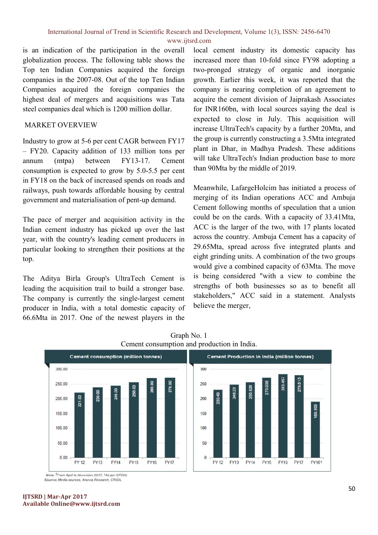www.ijtsrd.com

is an indication of the participation in the overall globalization process. The following table shows the Top ten Indian Companies acquired the foreign companies in the 2007-08. Out of the top Ten Indian Companies acquired the foreign companies the highest deal of mergers and acquisitions was Tata steel companies deal which is 1200 million dollar.

## MARKET OVERVIEW

Industry to grow at 5-6 per cent CAGR between FY17 – FY20. Capacity addition of 133 million tons per annum (mtpa) between FY13-17. Cement consumption is expected to grow by 5.0-5.5 per cent in FY18 on the back of increased spends on roads and railways, push towards affordable housing by central government and materialisation of pent-up demand.

The pace of merger and acquisition activity in the Indian cement industry has picked up over the last year, with the country's leading cement producers in particular looking to strengthen their positions at the top.

The Aditya Birla Group's UltraTech Cement is leading the acquisition trail to build a stronger base. The company is currently the single-largest cement producer in India, with a total domestic capacity of 66.6Mta in 2017. One of the newest players in the

local cement industry its domestic capacity has increased more than 10-fold since FY98 adopting a two-pronged strategy of organic and inorganic growth. Earlier this week, it was reported that the company is nearing completion of an agreement to acquire the cement division of Jaiprakash Associates for INR160bn, with local sources saying the deal is expected to close in July. This acquisition will increase UltraTech's capacity by a further 20Mta, and the group is currently constructing a 3.5Mta integrated plant in Dhar, in Madhya Pradesh. These additions will take UltraTech's Indian production base to more than 90Mta by the middle of 2019.

Meanwhile, LafargeHolcim has initiated a process of merging of its Indian operations ACC and Ambuja Cement following months of speculation that a union could be on the cards. With a capacity of 33.41Mta, ACC is the larger of the two, with 17 plants located across the country. Ambuja Cement has a capacity of 29.65Mta, spread across five integrated plants and eight grinding units. A combination of the two groups would give a combined capacity of 63Mta. The move is being considered "with a view to combine the strengths of both businesses so as to benefit all stakeholders," ACC said in a statement. Analysts believe the merger,



Graph No. 1 Cement consumption and production in India.

Note: <sup>1</sup>From April to November 2017, <sup>N</sup>As per CRISIL Source: Media sources, Aranca Research, CRISIL

#### IJTSRD | Mar-Apr 2017 Available Online@www.ijtsrd.com